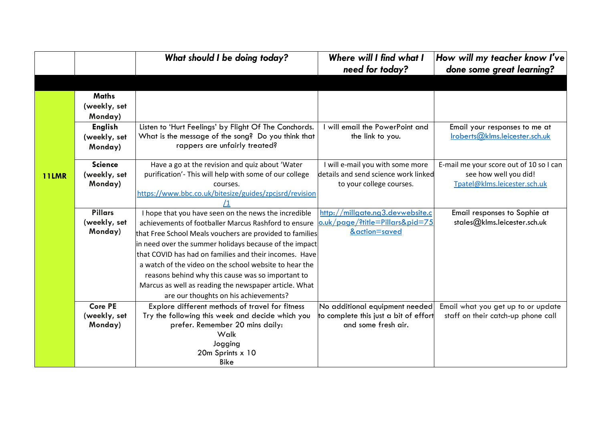|              |                | What should I be doing today?                                                                                    | Where will I find what I<br>need for today?                         | How will my teacher know I've<br>done some great learning?   |
|--------------|----------------|------------------------------------------------------------------------------------------------------------------|---------------------------------------------------------------------|--------------------------------------------------------------|
|              |                |                                                                                                                  |                                                                     |                                                              |
|              | <b>Maths</b>   |                                                                                                                  |                                                                     |                                                              |
|              | (weekly, set   |                                                                                                                  |                                                                     |                                                              |
|              | Monday)        |                                                                                                                  |                                                                     |                                                              |
|              | <b>English</b> | Listen to 'Hurt Feelings' by Flight Of The Conchords.                                                            | will email the PowerPoint and                                       | Email your responses to me at                                |
|              | (weekly, set   | What is the message of the song? Do you think that                                                               | the link to you.                                                    | Iroberts@klms.leicester.sch.uk                               |
|              | Monday)        | rappers are unfairly treated?                                                                                    |                                                                     |                                                              |
|              | <b>Science</b> | Have a go at the revision and quiz about 'Water                                                                  | I will e-mail you with some more                                    | E-mail me your score out of 10 so I can                      |
| <b>11LMR</b> | (weekly, set   | purification'- This will help with some of our college                                                           | details and send science work linked                                | see how well you did!                                        |
|              | Monday)        | courses.                                                                                                         | to your college courses.                                            | Tpatel@klms.leicester.sch.uk                                 |
|              |                | https://www.bbc.co.uk/bitesize/guides/zpcjsrd/revision                                                           |                                                                     |                                                              |
|              | <b>Pillars</b> |                                                                                                                  |                                                                     |                                                              |
|              | (weekly, set   | I hope that you have seen on the news the incredible                                                             | http://millgate.ng3.devwebsite.c<br>o.uk/page/?title=Pillars&pid=75 | Email responses to Sophie at<br>stales@klms.leicester.sch.uk |
|              | Monday)        | achievements of footballer Marcus Rashford to ensure                                                             | &action=saved                                                       |                                                              |
|              |                | that Free School Meals vouchers are provided to families                                                         |                                                                     |                                                              |
|              |                | in need over the summer holidays because of the impact<br>that COVID has had on families and their incomes. Have |                                                                     |                                                              |
|              |                |                                                                                                                  |                                                                     |                                                              |
|              |                | a watch of the video on the school website to hear the                                                           |                                                                     |                                                              |
|              |                | reasons behind why this cause was so important to                                                                |                                                                     |                                                              |
|              |                | Marcus as well as reading the newspaper article. What                                                            |                                                                     |                                                              |
|              | <b>Core PE</b> | are our thoughts on his achievements?<br>Explore different methods of travel for fitness                         | No additional equipment needed                                      | Email what you get up to or update                           |
|              | (weekly, set   | Try the following this week and decide which you                                                                 | to complete this just a bit of effort                               | staff on their catch-up phone call                           |
|              | Monday)        | prefer. Remember 20 mins daily:                                                                                  | and some fresh air.                                                 |                                                              |
|              |                | Walk                                                                                                             |                                                                     |                                                              |
|              |                | Jogging                                                                                                          |                                                                     |                                                              |
|              |                | 20m Sprints x 10                                                                                                 |                                                                     |                                                              |
|              |                | <b>Bike</b>                                                                                                      |                                                                     |                                                              |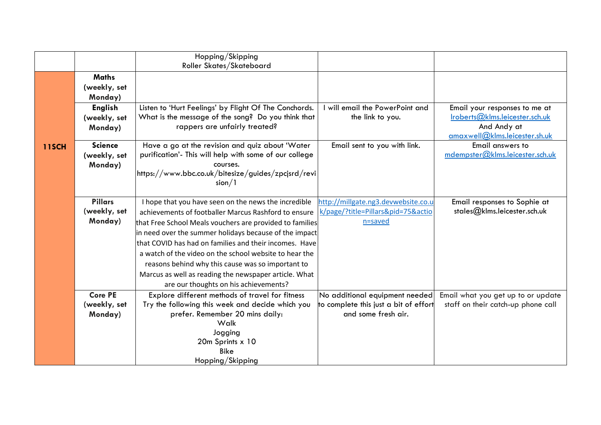|              |                | Hopping/Skipping                                         |                                       |                                                              |
|--------------|----------------|----------------------------------------------------------|---------------------------------------|--------------------------------------------------------------|
|              |                | Roller Skates/Skateboard                                 |                                       |                                                              |
|              | <b>Maths</b>   |                                                          |                                       |                                                              |
|              | (weekly, set   |                                                          |                                       |                                                              |
|              | Monday)        |                                                          |                                       |                                                              |
|              | <b>English</b> | Listen to 'Hurt Feelings' by Flight Of The Conchords.    | I will email the PowerPoint and       | Email your responses to me at                                |
|              | (weekly, set   | What is the message of the song? Do you think that       | the link to you.                      | Iroberts@klms.leicester.sch.uk                               |
|              | Monday)        | rappers are unfairly treated?                            |                                       | And Andy at                                                  |
|              |                |                                                          |                                       | amaxwell@klms.leicester.sh.uk                                |
| <b>11SCH</b> | <b>Science</b> | Have a go at the revision and quiz about 'Water          | Email sent to you with link.          | Email answers to                                             |
|              | (weekly, set   | purification'- This will help with some of our college   |                                       | mdempster@klms.leicester.sch.uk                              |
|              | Monday)        | courses.                                                 |                                       |                                                              |
|              |                | https://www.bbc.co.uk/bitesize/guides/zpcjsrd/revi       |                                       |                                                              |
|              |                | sion/1                                                   |                                       |                                                              |
|              | <b>Pillars</b> | I hope that you have seen on the news the incredible     | http://millgate.ng3.devwebsite.co.u   |                                                              |
|              | (weekly, set   |                                                          | k/page/?title=Pillars&pid=75&actio    | Email responses to Sophie at<br>stales@klms.leicester.sch.uk |
|              | Monday)        | achievements of footballer Marcus Rashford to ensure     | n=saved                               |                                                              |
|              |                | that Free School Meals vouchers are provided to families |                                       |                                                              |
|              |                | in need over the summer holidays because of the impact   |                                       |                                                              |
|              |                | that COVID has had on families and their incomes. Have   |                                       |                                                              |
|              |                | a watch of the video on the school website to hear the   |                                       |                                                              |
|              |                | reasons behind why this cause was so important to        |                                       |                                                              |
|              |                | Marcus as well as reading the newspaper article. What    |                                       |                                                              |
|              |                | are our thoughts on his achievements?                    |                                       |                                                              |
|              | <b>Core PE</b> | Explore different methods of travel for fitness          | No additional equipment needed        | Email what you get up to or update                           |
|              | (weekly, set   | Try the following this week and decide which you         | to complete this just a bit of effort | staff on their catch-up phone call                           |
|              | Monday)        | prefer. Remember 20 mins daily:                          | and some fresh air.                   |                                                              |
|              |                | Walk                                                     |                                       |                                                              |
|              |                | Jogging                                                  |                                       |                                                              |
|              |                | 20m Sprints x 10                                         |                                       |                                                              |
|              |                | <b>Bike</b>                                              |                                       |                                                              |
|              |                | Hopping/Skipping                                         |                                       |                                                              |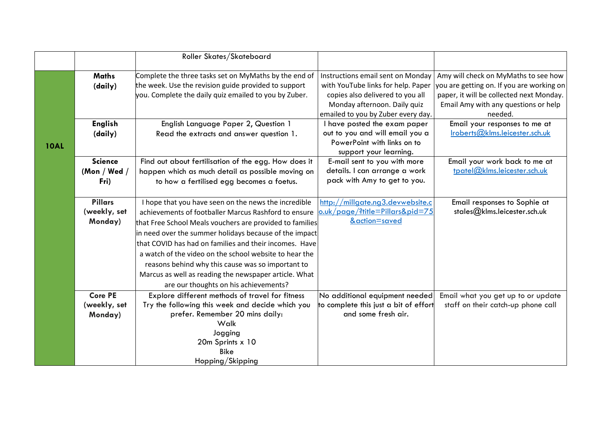| Instructions email sent on Monday<br>Complete the three tasks set on MyMaths by the end of<br>Amy will check on MyMaths to see how<br><b>Maths</b><br>the week. Use the revision guide provided to support<br>with YouTube links for help. Paper<br>you are getting on. If you are working on<br>(daily)<br>paper, it will be collected next Monday.<br>you. Complete the daily quiz emailed to you by Zuber.<br>copies also delivered to you all<br>Monday afternoon. Daily quiz<br>Email Amy with any questions or help<br>emailed to you by Zuber every day.<br>needed. |  |
|----------------------------------------------------------------------------------------------------------------------------------------------------------------------------------------------------------------------------------------------------------------------------------------------------------------------------------------------------------------------------------------------------------------------------------------------------------------------------------------------------------------------------------------------------------------------------|--|
|                                                                                                                                                                                                                                                                                                                                                                                                                                                                                                                                                                            |  |
|                                                                                                                                                                                                                                                                                                                                                                                                                                                                                                                                                                            |  |
|                                                                                                                                                                                                                                                                                                                                                                                                                                                                                                                                                                            |  |
| <b>English</b><br>English Language Paper 2, Question 1<br>I have posted the exam paper<br>Email your responses to me at                                                                                                                                                                                                                                                                                                                                                                                                                                                    |  |
| Iroberts@klms.leicester.sch.uk<br>out to you and will email you a<br>Read the extracts and answer question 1.<br>(daily)                                                                                                                                                                                                                                                                                                                                                                                                                                                   |  |
| PowerPoint with links on to<br><b>10AL</b>                                                                                                                                                                                                                                                                                                                                                                                                                                                                                                                                 |  |
| support your learning.                                                                                                                                                                                                                                                                                                                                                                                                                                                                                                                                                     |  |
| <b>Science</b><br>Email your work back to me at<br>Find out about fertilisation of the egg. How does it<br>E-mail sent to you with more                                                                                                                                                                                                                                                                                                                                                                                                                                    |  |
| tpatel@klms.leicester.sch.uk<br>details. I can arrange a work<br>(Mon / Wed /<br>happen which as much detail as possible moving on                                                                                                                                                                                                                                                                                                                                                                                                                                         |  |
| pack with Amy to get to you.<br>Fri)<br>to how a fertilised egg becomes a foetus.                                                                                                                                                                                                                                                                                                                                                                                                                                                                                          |  |
| <b>Pillars</b><br>I hope that you have seen on the news the incredible<br>http://millgate.ng3.devwebsite.c<br>Email responses to Sophie at                                                                                                                                                                                                                                                                                                                                                                                                                                 |  |
| o.uk/page/?title=Pillars&pid=75<br>(weekly, set<br>stales@klms.leicester.sch.uk<br>achievements of footballer Marcus Rashford to ensure                                                                                                                                                                                                                                                                                                                                                                                                                                    |  |
| &action=saved<br>Monday)                                                                                                                                                                                                                                                                                                                                                                                                                                                                                                                                                   |  |
| that Free School Meals vouchers are provided to families                                                                                                                                                                                                                                                                                                                                                                                                                                                                                                                   |  |
| in need over the summer holidays because of the impact                                                                                                                                                                                                                                                                                                                                                                                                                                                                                                                     |  |
| that COVID has had on families and their incomes. Have                                                                                                                                                                                                                                                                                                                                                                                                                                                                                                                     |  |
| a watch of the video on the school website to hear the                                                                                                                                                                                                                                                                                                                                                                                                                                                                                                                     |  |
| reasons behind why this cause was so important to                                                                                                                                                                                                                                                                                                                                                                                                                                                                                                                          |  |
| Marcus as well as reading the newspaper article. What                                                                                                                                                                                                                                                                                                                                                                                                                                                                                                                      |  |
| are our thoughts on his achievements?                                                                                                                                                                                                                                                                                                                                                                                                                                                                                                                                      |  |
| <b>Core PE</b><br>Explore different methods of travel for fitness<br>No additional equipment needed<br>Email what you get up to or update                                                                                                                                                                                                                                                                                                                                                                                                                                  |  |
| Try the following this week and decide which you<br>to complete this just a bit of effort<br>(weekly, set<br>staff on their catch-up phone call                                                                                                                                                                                                                                                                                                                                                                                                                            |  |
| prefer. Remember 20 mins daily:<br>and some fresh air.<br>Monday)                                                                                                                                                                                                                                                                                                                                                                                                                                                                                                          |  |
| Walk                                                                                                                                                                                                                                                                                                                                                                                                                                                                                                                                                                       |  |
| Jogging                                                                                                                                                                                                                                                                                                                                                                                                                                                                                                                                                                    |  |
| 20m Sprints x 10<br><b>Bike</b>                                                                                                                                                                                                                                                                                                                                                                                                                                                                                                                                            |  |
| Hopping/Skipping                                                                                                                                                                                                                                                                                                                                                                                                                                                                                                                                                           |  |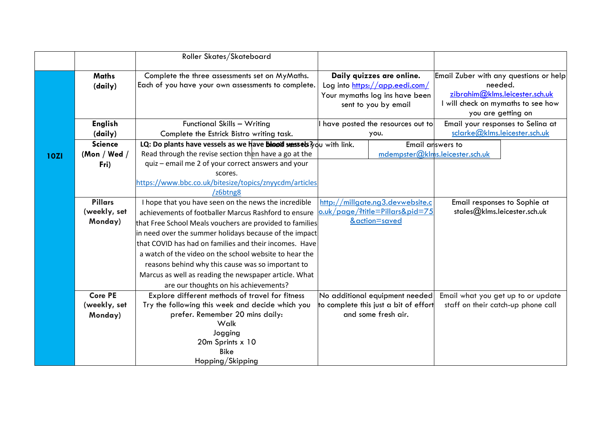|             |                | Roller Skates/Skateboard                                            |                                                        |                                           |
|-------------|----------------|---------------------------------------------------------------------|--------------------------------------------------------|-------------------------------------------|
|             | <b>Maths</b>   | Complete the three assessments set on MyMaths.                      | Daily quizzes are online.                              | Email Zuber with any questions or help    |
|             | (daily)        | Each of you have your own assessments to complete.                  | Log into https://app.eedi.com/                         | needed.<br>zibrahim@klms.leicester.sch.uk |
|             |                |                                                                     | Your mymaths log ins have been<br>sent to you by email | I will check on mymaths to see how        |
|             |                |                                                                     |                                                        | you are getting on                        |
|             | <b>English</b> | Functional Skills - Writing                                         | have posted the resources out to                       | Email your responses to Selina at         |
|             | (daily)        | Complete the Estrick Bistro writing task.                           | you.                                                   | sclarke@klms.leicester.sch.uk             |
|             | <b>Science</b> | LQ: Do plants have vessels as we have blood vessets 3 du with link. |                                                        | Email answers to                          |
| <b>10ZI</b> | (Mon / Wed /   | Read through the revise section then have a go at the               | mdempster@klms.leicester.sch.uk                        |                                           |
|             | Fri)           | quiz - email me 2 of your correct answers and your                  |                                                        |                                           |
|             |                | scores.                                                             |                                                        |                                           |
|             |                | https://www.bbc.co.uk/bitesize/topics/znyycdm/articles              |                                                        |                                           |
|             |                | /z6btng8                                                            |                                                        |                                           |
|             | <b>Pillars</b> | I hope that you have seen on the news the incredible                | http://millgate.ng3.devwebsite.c                       | Email responses to Sophie at              |
|             | (weekly, set   | achievements of footballer Marcus Rashford to ensure                | o.uk/page/?title=Pillars&pid=75                        | stales@klms.leicester.sch.uk              |
|             | Monday)        | that Free School Meals vouchers are provided to families            | &action=saved                                          |                                           |
|             |                | in need over the summer holidays because of the impact              |                                                        |                                           |
|             |                | that COVID has had on families and their incomes. Have              |                                                        |                                           |
|             |                | a watch of the video on the school website to hear the              |                                                        |                                           |
|             |                | reasons behind why this cause was so important to                   |                                                        |                                           |
|             |                | Marcus as well as reading the newspaper article. What               |                                                        |                                           |
|             |                | are our thoughts on his achievements?                               |                                                        |                                           |
|             | <b>Core PE</b> | Explore different methods of travel for fitness                     | No additional equipment needed                         | Email what you get up to or update        |
|             | (weekly, set   | Try the following this week and decide which you                    | to complete this just a bit of effort                  | staff on their catch-up phone call        |
|             | Monday)        | prefer. Remember 20 mins daily:                                     | and some fresh air.                                    |                                           |
|             |                | Walk                                                                |                                                        |                                           |
|             |                | Jogging                                                             |                                                        |                                           |
|             |                | 20m Sprints x 10                                                    |                                                        |                                           |
|             |                | <b>Bike</b>                                                         |                                                        |                                           |
|             |                | Hopping/Skipping                                                    |                                                        |                                           |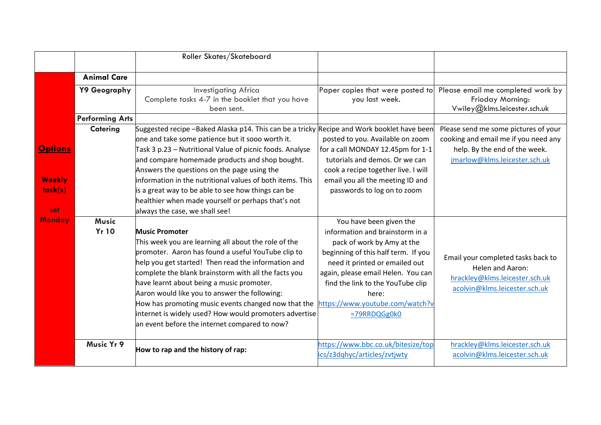|                                 |                              | Roller Skates/Skateboard                                                                                                                                                                                                                                                                                                                                                                                                                                                                                           |                                                                                                                                                                                                                                                                                                          |                                                                                                                                  |
|---------------------------------|------------------------------|--------------------------------------------------------------------------------------------------------------------------------------------------------------------------------------------------------------------------------------------------------------------------------------------------------------------------------------------------------------------------------------------------------------------------------------------------------------------------------------------------------------------|----------------------------------------------------------------------------------------------------------------------------------------------------------------------------------------------------------------------------------------------------------------------------------------------------------|----------------------------------------------------------------------------------------------------------------------------------|
|                                 | <b>Animal Care</b>           |                                                                                                                                                                                                                                                                                                                                                                                                                                                                                                                    |                                                                                                                                                                                                                                                                                                          |                                                                                                                                  |
|                                 | Y9 Geography                 | <b>Investigating Africa</b><br>Complete tasks 4-7 in the booklet that you have<br>been sent.                                                                                                                                                                                                                                                                                                                                                                                                                       | Paper copies that were posted to<br>you last week.                                                                                                                                                                                                                                                       | Please email me completed work by<br>Frioday Morning:<br>Vwiley@klms.leicester.sch.uk                                            |
|                                 | <b>Performing Arts</b>       |                                                                                                                                                                                                                                                                                                                                                                                                                                                                                                                    |                                                                                                                                                                                                                                                                                                          |                                                                                                                                  |
|                                 | <b>Catering</b>              | Suggested recipe -Baked Alaska p14. This can be a tricky Recipe and Work booklet have been<br>one and take some patience but it sooo worth it.                                                                                                                                                                                                                                                                                                                                                                     | posted to you. Available on zoom                                                                                                                                                                                                                                                                         | Please send me some pictures of your<br>cooking and email me if you need any                                                     |
| <b>Options</b>                  |                              | Task 3 p.23 – Nutritional Value of picnic foods. Analyse<br>and compare homemade products and shop bought.<br>Answers the questions on the page using the                                                                                                                                                                                                                                                                                                                                                          | for a call MONDAY 12.45pm for 1-1<br>tutorials and demos. Or we can<br>cook a recipe together live. I will                                                                                                                                                                                               | help. By the end of the week.<br>jmarlow@klms.leicester.sch.uk                                                                   |
| <b>Weekly</b><br>task(s)<br>set |                              | information in the nutritional values of both items. This<br>is a great way to be able to see how things can be<br>healthier when made yourself or perhaps that's not<br>always the case, we shall see!                                                                                                                                                                                                                                                                                                            | email you all the meeting ID and<br>passwords to log on to zoom                                                                                                                                                                                                                                          |                                                                                                                                  |
| <b>Monday</b>                   | <b>Music</b><br><b>Yr 10</b> | <b>Music Promoter</b><br>This week you are learning all about the role of the<br>promoter. Aaron has found a useful YouTube clip to<br>help you get started! Then read the information and<br>complete the blank brainstorm with all the facts you<br>have learnt about being a music promoter.<br>Aaron would like you to answer the following:<br>How has promoting music events changed now that the<br>internet is widely used? How would promoters advertise<br>an event before the internet compared to now? | You have been given the<br>information and brainstorm in a<br>pack of work by Amy at the<br>beginning of this half term. If you<br>need it printed or emailed out<br>again, please email Helen. You can<br>find the link to the YouTube clip<br>here:<br>https://www.youtube.com/watch?v<br>=79RRDQGg0k0 | Email your completed tasks back to<br><b>Helen and Aaron:</b><br>hrackley@klms.leicester.sch.uk<br>acolvin@klms.leicester.sch.uk |
|                                 | Music Yr 9                   | How to rap and the history of rap:                                                                                                                                                                                                                                                                                                                                                                                                                                                                                 | https://www.bbc.co.uk/bitesize/top<br>cs/z3dqhyc/articles/zvtjwty                                                                                                                                                                                                                                        | hrackley@klms.leicester.sch.uk<br>acolvin@klms.leicester.sch.uk                                                                  |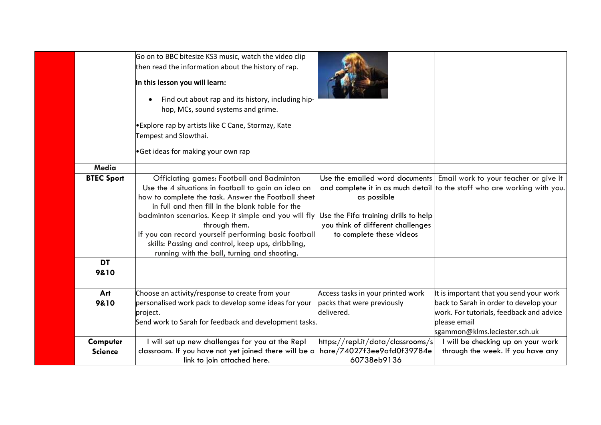|                            | Go on to BBC bitesize KS3 music, watch the video clip<br>then read the information about the history of rap.<br>In this lesson you will learn:<br>Find out about rap and its history, including hip-<br>hop, MCs, sound systems and grime.<br>• Explore rap by artists like C Cane, Stormzy, Kate<br>Tempest and Slowthai.                                                                                                                        |                                                                                                                      |                                                                                                                                                                                |
|----------------------------|---------------------------------------------------------------------------------------------------------------------------------------------------------------------------------------------------------------------------------------------------------------------------------------------------------------------------------------------------------------------------------------------------------------------------------------------------|----------------------------------------------------------------------------------------------------------------------|--------------------------------------------------------------------------------------------------------------------------------------------------------------------------------|
|                            | •Get ideas for making your own rap                                                                                                                                                                                                                                                                                                                                                                                                                |                                                                                                                      |                                                                                                                                                                                |
| <b>Media</b>               |                                                                                                                                                                                                                                                                                                                                                                                                                                                   |                                                                                                                      |                                                                                                                                                                                |
| <b>BTEC Sport</b>          | Officiating games: Football and Badminton<br>Use the 4 situations in football to gain an idea on<br>how to complete the task. Answer the Football sheet<br>in full and then fill in the blank table for the<br>badminton scenarios. Keep it simple and you will fly<br>through them.<br>If you can record yourself performing basic football<br>skills: Passing and control, keep ups, dribbling,<br>running with the ball, turning and shooting. | as possible<br>Use the Fifa training drills to help<br>you think of different challenges<br>to complete these videos | Use the emailed word documents Email work to your teacher or give it<br>and complete it in as much detail to the staff who are working with you.                               |
| <b>DT</b><br>9&10          |                                                                                                                                                                                                                                                                                                                                                                                                                                                   |                                                                                                                      |                                                                                                                                                                                |
| Art<br>9&10                | Choose an activity/response to create from your<br>personalised work pack to develop some ideas for your<br>project.<br>Send work to Sarah for feedback and development tasks.                                                                                                                                                                                                                                                                    | Access tasks in your printed work<br>packs that were previously<br>delivered.                                        | It is important that you send your work<br>back to Sarah in order to develop your<br>work. For tutorials, feedback and advice<br>please email<br>sgammon@klms.leciester.sch.uk |
| Computer<br><b>Science</b> | I will set up new challenges for you at the Repl<br>classroom. If you have not yet joined there will be a<br>link to join attached here.                                                                                                                                                                                                                                                                                                          | https://repl.it/data/classrooms/s<br>hare/74027f3ee9afd0f39784e<br>60738eb9136                                       | I will be checking up on your work<br>through the week. If you have any                                                                                                        |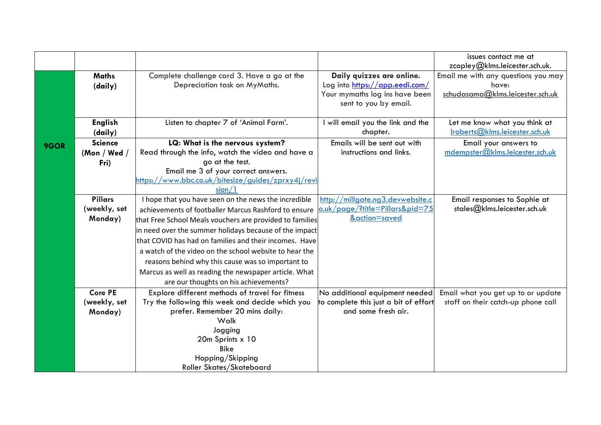|      |                |                                                          |                                                                     | issues contact me at                |
|------|----------------|----------------------------------------------------------|---------------------------------------------------------------------|-------------------------------------|
|      |                |                                                          |                                                                     | zcopley@klms.leicester.sch.uk.      |
|      | <b>Maths</b>   | Complete challenge card 3. Have a go at the              | Daily quizzes are online.                                           | Email me with any questions you may |
|      | (daily)        | Depreciation task on MyMaths.                            | Log into https://app.eedi.com/                                      | have:                               |
|      |                |                                                          | Your mymaths log ins have been                                      | schudasama@klms.leicester.sch.uk    |
|      |                |                                                          | sent to you by email.                                               |                                     |
|      |                |                                                          |                                                                     |                                     |
|      | <b>English</b> | Listen to chapter 7 of 'Animal Farm'.                    | I will email you the link and the                                   | Let me know what you think at       |
|      | (daily)        |                                                          | chapter.                                                            | Iroberts@klms.leicester.sch.uk      |
| 9GOR | <b>Science</b> | LQ: What is the nervous system?                          | Emails will be sent out with                                        | Email your answers to               |
|      | (Mon / Wed /   | Read through the info, watch the video and have a        | instructions and links.                                             | mdempster@klms.leicester.sch.uk     |
|      | Fri)           | go at the test.                                          |                                                                     |                                     |
|      |                | Email me 3 of your correct answers.                      |                                                                     |                                     |
|      |                | https://www.bbc.co.uk/bitesize/guides/zprxy4j/revi       |                                                                     |                                     |
|      |                | sion/1                                                   |                                                                     |                                     |
|      | <b>Pillars</b> | I hope that you have seen on the news the incredible     | http://millgate.ng3.devwebsite.c<br>o.uk/page/?title=Pillars&pid=75 | Email responses to Sophie at        |
|      | (weekly, set   | achievements of footballer Marcus Rashford to ensure     | &action=saved                                                       | stales@klms.leicester.sch.uk        |
|      | Monday)        | that Free School Meals vouchers are provided to families |                                                                     |                                     |
|      |                | in need over the summer holidays because of the impact   |                                                                     |                                     |
|      |                | that COVID has had on families and their incomes. Have   |                                                                     |                                     |
|      |                | a watch of the video on the school website to hear the   |                                                                     |                                     |
|      |                | reasons behind why this cause was so important to        |                                                                     |                                     |
|      |                | Marcus as well as reading the newspaper article. What    |                                                                     |                                     |
|      |                | are our thoughts on his achievements?                    |                                                                     |                                     |
|      | <b>Core PE</b> | Explore different methods of travel for fitness          | No additional equipment needed                                      | Email what you get up to or update  |
|      | (weekly, set   | Try the following this week and decide which you         | to complete this just a bit of effort                               | staff on their catch-up phone call  |
|      | Monday)        | prefer. Remember 20 mins daily:                          | and some fresh air.                                                 |                                     |
|      |                | Walk                                                     |                                                                     |                                     |
|      |                | Jogging                                                  |                                                                     |                                     |
|      |                | 20m Sprints x 10                                         |                                                                     |                                     |
|      |                | <b>Bike</b>                                              |                                                                     |                                     |
|      |                | Hopping/Skipping                                         |                                                                     |                                     |
|      |                | Roller Skates/Skateboard                                 |                                                                     |                                     |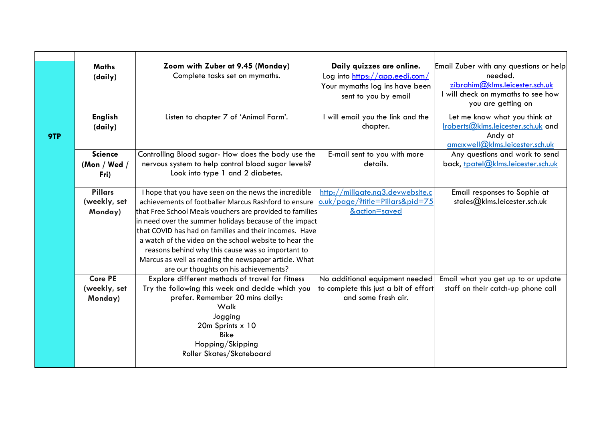|     | <b>Maths</b>   | Zoom with Zuber at 9.45 (Monday)                                                                                 | Daily quizzes are online.                        | Email Zuber with any questions or help |
|-----|----------------|------------------------------------------------------------------------------------------------------------------|--------------------------------------------------|----------------------------------------|
|     | (daily)        | Complete tasks set on mymaths.                                                                                   | Log into https://app.eedi.com/                   | needed.                                |
|     |                |                                                                                                                  | Your mymaths log ins have been                   | zibrahim@klms.leicester.sch.uk         |
|     |                |                                                                                                                  | sent to you by email                             | I will check on mymaths to see how     |
|     |                |                                                                                                                  |                                                  | you are getting on                     |
|     | <b>English</b> | Listen to chapter 7 of 'Animal Farm'.                                                                            | I will email you the link and the                | Let me know what you think at          |
|     | (daily)        |                                                                                                                  | chapter.                                         | Iroberts@klms.leicester.sch.uk and     |
| 9TP |                |                                                                                                                  |                                                  | Andy at                                |
|     |                |                                                                                                                  |                                                  | amaxwell@klms.leicester.sch.uk         |
|     | <b>Science</b> | Controlling Blood sugar- How does the body use the                                                               | E-mail sent to you with more                     | Any questions and work to send         |
|     | (Mon / Wed /   | nervous system to help control blood sugar levels?                                                               | details.                                         | back, tpatel@klms.leicester.sch.uk     |
|     | Fri)           | Look into type 1 and 2 diabetes.                                                                                 |                                                  |                                        |
|     |                |                                                                                                                  |                                                  |                                        |
|     | <b>Pillars</b> | I hope that you have seen on the news the incredible<br>achievements of footballer Marcus Rashford to ensure     | http://millgate.ng3.devwebsite.c                 | Email responses to Sophie at           |
|     | (weekly, set   |                                                                                                                  | o.uk/page/?title=Pillars&pid=75<br>&action=saved | stales@klms.leicester.sch.uk           |
|     | Monday)        | that Free School Meals vouchers are provided to families                                                         |                                                  |                                        |
|     |                | in need over the summer holidays because of the impact<br>that COVID has had on families and their incomes. Have |                                                  |                                        |
|     |                | a watch of the video on the school website to hear the                                                           |                                                  |                                        |
|     |                |                                                                                                                  |                                                  |                                        |
|     |                | reasons behind why this cause was so important to<br>Marcus as well as reading the newspaper article. What       |                                                  |                                        |
|     |                | are our thoughts on his achievements?                                                                            |                                                  |                                        |
|     | <b>Core PE</b> | Explore different methods of travel for fitness                                                                  | No additional equipment needed                   | Email what you get up to or update     |
|     | (weekly, set   | Try the following this week and decide which you                                                                 | to complete this just a bit of effort            | staff on their catch-up phone call     |
|     | Monday)        | prefer. Remember 20 mins daily:                                                                                  | and some fresh air.                              |                                        |
|     |                | Walk                                                                                                             |                                                  |                                        |
|     |                | Jogging                                                                                                          |                                                  |                                        |
|     |                | 20m Sprints x 10                                                                                                 |                                                  |                                        |
|     |                | <b>Bike</b>                                                                                                      |                                                  |                                        |
|     |                | Hopping/Skipping                                                                                                 |                                                  |                                        |
|     |                | Roller Skates/Skateboard                                                                                         |                                                  |                                        |
|     |                |                                                                                                                  |                                                  |                                        |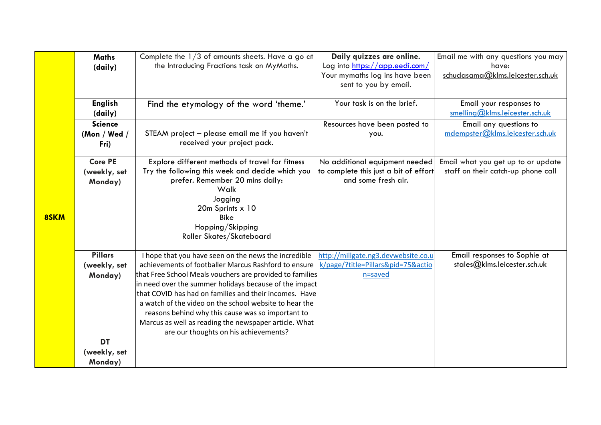|      | <b>Maths</b>   | Complete the $1/3$ of amounts sheets. Have a go at       | Daily quizzes are online.             | Email me with any questions you may |
|------|----------------|----------------------------------------------------------|---------------------------------------|-------------------------------------|
|      | (daily)        | the Introducing Fractions task on MyMaths.               | Log into https://app.eedi.com/        | have:                               |
|      |                |                                                          | Your mymaths log ins have been        | schudasama@klms.leicester.sch.uk    |
|      |                |                                                          | sent to you by email.                 |                                     |
|      |                |                                                          |                                       |                                     |
|      | <b>English</b> | Find the etymology of the word 'theme.'                  | Your task is on the brief.            | Email your responses to             |
|      | (daily)        |                                                          |                                       | smelling@klms.leicester.sch.uk      |
|      | <b>Science</b> |                                                          | Resources have been posted to         | Email any questions to              |
|      | (Mon / Wed /   | STEAM project - please email me if you haven't           | you.                                  | mdempster@klms.leicester.sch.uk     |
|      | Fri)           | received your project pack.                              |                                       |                                     |
|      |                |                                                          |                                       |                                     |
|      | <b>Core PE</b> | Explore different methods of travel for fitness          | No additional equipment needed        | Email what you get up to or update  |
|      | (weekly, set   | Try the following this week and decide which you         | to complete this just a bit of effort | staff on their catch-up phone call  |
|      | Monday)        | prefer. Remember 20 mins daily:<br>Walk                  | and some fresh air.                   |                                     |
|      |                |                                                          |                                       |                                     |
|      |                | Jogging<br>20m Sprints x 10                              |                                       |                                     |
| 8SKM |                | <b>Bike</b>                                              |                                       |                                     |
|      |                | Hopping/Skipping                                         |                                       |                                     |
|      |                | Roller Skates/Skateboard                                 |                                       |                                     |
|      |                |                                                          |                                       |                                     |
|      | <b>Pillars</b> | I hope that you have seen on the news the incredible     | http://millgate.ng3.devwebsite.co.u   | Email responses to Sophie at        |
|      | (weekly, set   | achievements of footballer Marcus Rashford to ensure     | k/page/?title=Pillars&pid=75&actio    | stales@klms.leicester.sch.uk        |
|      | Monday)        | that Free School Meals vouchers are provided to families | n=saved                               |                                     |
|      |                | in need over the summer holidays because of the impact   |                                       |                                     |
|      |                | that COVID has had on families and their incomes. Have   |                                       |                                     |
|      |                | a watch of the video on the school website to hear the   |                                       |                                     |
|      |                | reasons behind why this cause was so important to        |                                       |                                     |
|      |                | Marcus as well as reading the newspaper article. What    |                                       |                                     |
|      |                | are our thoughts on his achievements?                    |                                       |                                     |
|      | <b>DT</b>      |                                                          |                                       |                                     |
|      | (weekly, set   |                                                          |                                       |                                     |
|      | Monday)        |                                                          |                                       |                                     |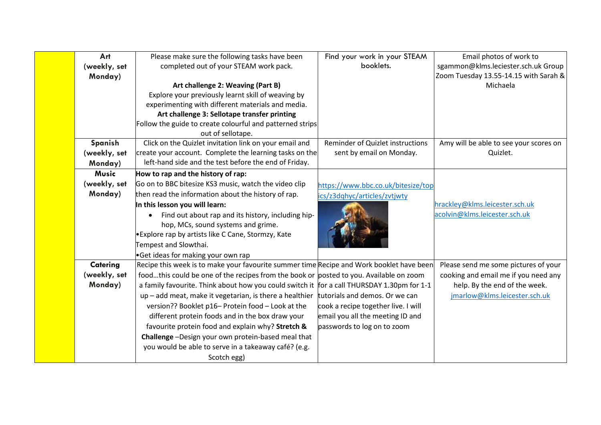| Art          | Please make sure the following tasks have been                                             | Find your work in your STEAM        | Email photos of work to                |
|--------------|--------------------------------------------------------------------------------------------|-------------------------------------|----------------------------------------|
| (weekly, set | completed out of your STEAM work pack.                                                     | booklets.                           | sgammon@klms.leciester.sch.uk Group    |
| Monday)      |                                                                                            |                                     | Zoom Tuesday 13.55-14.15 with Sarah &  |
|              | Art challenge 2: Weaving (Part B)                                                          |                                     | Michaela                               |
|              | Explore your previously learnt skill of weaving by                                         |                                     |                                        |
|              | experimenting with different materials and media.                                          |                                     |                                        |
|              | Art challenge 3: Sellotape transfer printing                                               |                                     |                                        |
|              | Follow the guide to create colourful and patterned strips                                  |                                     |                                        |
|              | out of sellotape.                                                                          |                                     |                                        |
| Spanish      | Click on the Quizlet invitation link on your email and                                     | Reminder of Quizlet instructions    | Amy will be able to see your scores on |
| (weekly, set | create your account. Complete the learning tasks on the                                    | sent by email on Monday.            | Quizlet.                               |
| Monday)      | left-hand side and the test before the end of Friday.                                      |                                     |                                        |
| Music        | How to rap and the history of rap:                                                         |                                     |                                        |
| (weekly, set | Go on to BBC bitesize KS3 music, watch the video clip                                      | https://www.bbc.co.uk/bitesize/top  |                                        |
| Monday)      | then read the information about the history of rap.                                        | ics/z3dqhyc/articles/zvtjwty        |                                        |
|              | In this lesson you will learn:                                                             |                                     | hrackley@klms.leicester.sch.uk         |
|              | Find out about rap and its history, including hip-                                         |                                     | acolvin@klms.leicester.sch.uk          |
|              | hop, MCs, sound systems and grime.                                                         |                                     |                                        |
|              | <b>.</b> Explore rap by artists like C Cane, Stormzy, Kate                                 |                                     |                                        |
|              | Tempest and Slowthai.                                                                      |                                     |                                        |
|              | Get ideas for making your own rap                                                          |                                     |                                        |
| Catering     | Recipe this week is to make your favourite summer time Recipe and Work booklet have been   |                                     | Please send me some pictures of your   |
| (weekly, set | foodthis could be one of the recipes from the book or posted to you. Available on zoom     |                                     | cooking and email me if you need any   |
| Monday)      | a family favourite. Think about how you could switch it for a call THURSDAY 1.30pm for 1-1 |                                     | help. By the end of the week.          |
|              | up - add meat, make it vegetarian, is there a healthier                                    | tutorials and demos. Or we can      | jmarlow@klms.leicester.sch.uk          |
|              | version?? Booklet p16- Protein food - Look at the                                          | cook a recipe together live. I will |                                        |
|              | different protein foods and in the box draw your                                           | email you all the meeting ID and    |                                        |
|              | favourite protein food and explain why? Stretch &                                          | passwords to log on to zoom         |                                        |
|              | Challenge-Design your own protein-based meal that                                          |                                     |                                        |
|              | you would be able to serve in a takeaway café? (e.g.                                       |                                     |                                        |
|              | Scotch egg)                                                                                |                                     |                                        |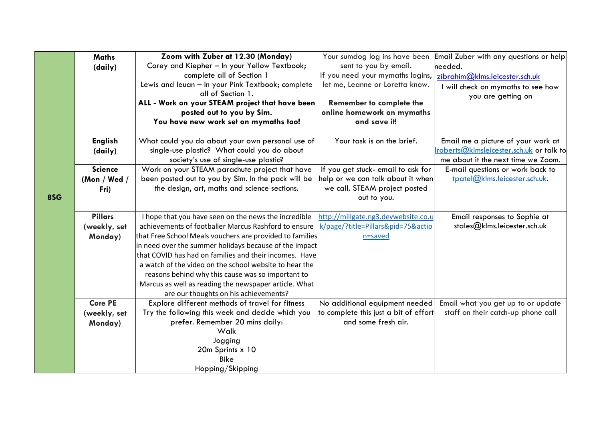|     | <b>Maths</b>   | Zoom with Zuber at 12.30 (Monday)                        | Your sumdog log ins have been                                | Email Zuber with any questions or help  |
|-----|----------------|----------------------------------------------------------|--------------------------------------------------------------|-----------------------------------------|
|     | (daily)        | Corey and Kiepher - In your Yellow Textbook;             | sent to you by email.                                        | needed.                                 |
|     |                | complete all of Section 1                                | If you need your mymaths logins,                             | zibrahim@klms.leicester.sch.uk          |
|     |                | Lewis and leuan - In your Pink Textbook; complete        | let me, Leanne or Loretta know.                              | I will check on mymaths to see how      |
|     |                | all of Section 1.                                        |                                                              | you are getting on                      |
|     |                | ALL - Work on your STEAM project that have been          | Remember to complete the                                     |                                         |
|     |                | posted out to you by Sim.                                | online homework on mymaths                                   |                                         |
|     |                | You have new work set on mymaths too!                    | and save it!                                                 |                                         |
|     | <b>English</b> | What could you do about your own personal use of         | Your task is on the brief.                                   | Email me a picture of your work at      |
|     | (daily)        | single-use plastic? What could you do about              |                                                              | roberts@klmsleicester.sch.uk or talk to |
|     |                | society's use of single-use plastic?                     |                                                              | me about it the next time we Zoom.      |
|     | <b>Science</b> | Work on your STEAM parachute project that have           | If you get stuck- email to ask for                           | E-mail questions or work back to        |
|     | (Mon / Wed /   | been posted out to you by Sim. In the pack will be       | help or we can talk about it when                            | tpatel@klms.leicester.sch.uk.           |
|     | Fri)           | the design, art, maths and science sections.             | we call. STEAM project posted                                |                                         |
| 8SG |                |                                                          | out to you.                                                  |                                         |
|     | <b>Pillars</b> | I hope that you have seen on the news the incredible     | http://millgate.ng3.devwebsite.co.u                          | Email responses to Sophie at            |
|     | (weekly, set   | achievements of footballer Marcus Rashford to ensure     | k/page/?title=Pillars&pid=75&actio                           | stales@klms.leicester.sch.uk            |
|     | Monday)        | that Free School Meals vouchers are provided to families | n=saved                                                      |                                         |
|     |                | in need over the summer holidays because of the impact   |                                                              |                                         |
|     |                | that COVID has had on families and their incomes. Have   |                                                              |                                         |
|     |                | a watch of the video on the school website to hear the   |                                                              |                                         |
|     |                | reasons behind why this cause was so important to        |                                                              |                                         |
|     |                | Marcus as well as reading the newspaper article. What    |                                                              |                                         |
|     |                | are our thoughts on his achievements?                    |                                                              |                                         |
|     | <b>Core PE</b> | Explore different methods of travel for fitness          | No additional equipment needed                               | Email what you get up to or update      |
|     | (weekly, set   | Try the following this week and decide which you         | to complete this just a bit of effort<br>and some fresh air. | staff on their catch-up phone call      |
|     | Monday)        | prefer. Remember 20 mins daily:<br>Walk                  |                                                              |                                         |
|     |                | Jogging                                                  |                                                              |                                         |
|     |                | 20m Sprints x 10                                         |                                                              |                                         |
|     |                | <b>Bike</b>                                              |                                                              |                                         |
|     |                | Hopping/Skipping                                         |                                                              |                                         |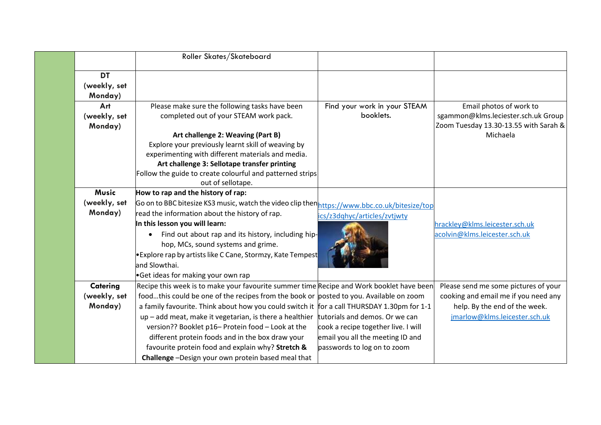|              | Roller Skates/Skateboard                                                                      |                                     |                                       |
|--------------|-----------------------------------------------------------------------------------------------|-------------------------------------|---------------------------------------|
| <b>DT</b>    |                                                                                               |                                     |                                       |
| (weekly, set |                                                                                               |                                     |                                       |
| Monday)      |                                                                                               |                                     |                                       |
| Art          | Please make sure the following tasks have been                                                | Find your work in your STEAM        | Email photos of work to               |
| (weekly, set | completed out of your STEAM work pack.                                                        | booklets.                           | sgammon@klms.leciester.sch.uk Group   |
| Monday)      |                                                                                               |                                     | Zoom Tuesday 13.30-13.55 with Sarah & |
|              | Art challenge 2: Weaving (Part B)                                                             |                                     | Michaela                              |
|              | Explore your previously learnt skill of weaving by                                            |                                     |                                       |
|              | experimenting with different materials and media.                                             |                                     |                                       |
|              | Art challenge 3: Sellotape transfer printing                                                  |                                     |                                       |
|              | Follow the guide to create colourful and patterned strips                                     |                                     |                                       |
|              | out of sellotape.                                                                             |                                     |                                       |
| Music        | How to rap and the history of rap:                                                            |                                     |                                       |
| (weekly, set | Go on to BBC bitesize KS3 music, watch the video clip then https://www.bbc.co.uk/bitesize/top |                                     |                                       |
| Monday)      | read the information about the history of rap.                                                | ics/z3dqhyc/articles/zvtjwty        |                                       |
|              | In this lesson you will learn:                                                                |                                     | hrackley@klms.leicester.sch.uk        |
|              | Find out about rap and its history, including hip-                                            |                                     | acolvin@klms.leicester.sch.uk         |
|              | hop, MCs, sound systems and grime.                                                            |                                     |                                       |
|              | Explore rap by artists like C Cane, Stormzy, Kate Tempest                                     |                                     |                                       |
|              | land Slowthai.                                                                                |                                     |                                       |
|              | Get ideas for making your own rap                                                             |                                     |                                       |
| Catering     | Recipe this week is to make your favourite summer time Recipe and Work booklet have been      |                                     | Please send me some pictures of your  |
| (weekly, set | foodthis could be one of the recipes from the book or posted to you. Available on zoom        |                                     | cooking and email me if you need any  |
| Monday)      | a family favourite. Think about how you could switch it for a call THURSDAY 1.30pm for 1-1    |                                     | help. By the end of the week.         |
|              | $up$ – add meat, make it vegetarian, is there a healthier                                     | tutorials and demos. Or we can      | jmarlow@klms.leicester.sch.uk         |
|              | version?? Booklet p16- Protein food - Look at the                                             | cook a recipe together live. I will |                                       |
|              | different protein foods and in the box draw your                                              | email you all the meeting ID and    |                                       |
|              | favourite protein food and explain why? Stretch &                                             | passwords to log on to zoom         |                                       |
|              | Challenge-Design your own protein based meal that                                             |                                     |                                       |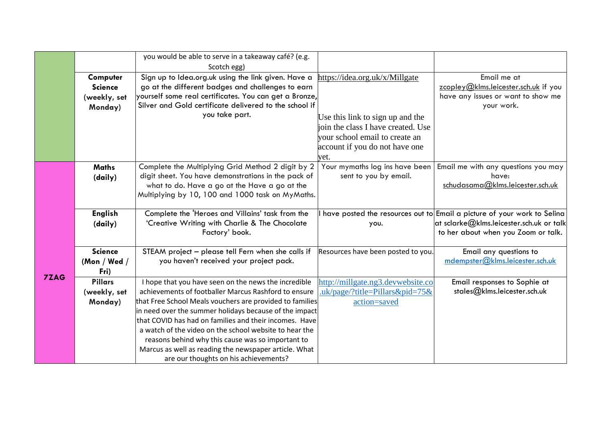|             |                | you would be able to serve in a takeaway café? (e.g.                                                               |                                    |                                                                           |
|-------------|----------------|--------------------------------------------------------------------------------------------------------------------|------------------------------------|---------------------------------------------------------------------------|
|             |                | Scotch egg)                                                                                                        |                                    |                                                                           |
|             | Computer       | Sign up to Idea.org.uk using the link given. Have a                                                                | https://idea.org.uk/x/Millgate     | Email me at                                                               |
|             | <b>Science</b> | go at the different badges and challenges to earn                                                                  |                                    | zcopley@klms.leicester.sch.uk if you                                      |
|             | (weekly, set   | yourself some real certificates. You can get a Bronze,                                                             |                                    | have any issues or want to show me                                        |
|             | Monday)        | Silver and Gold certificate delivered to the school if                                                             |                                    | your work.                                                                |
|             |                | you take part.                                                                                                     | Use this link to sign up and the   |                                                                           |
|             |                |                                                                                                                    | ioin the class I have created. Use |                                                                           |
|             |                |                                                                                                                    | your school email to create an     |                                                                           |
|             |                |                                                                                                                    | account if you do not have one     |                                                                           |
|             |                |                                                                                                                    | vet.                               |                                                                           |
|             | <b>Maths</b>   | Complete the Multiplying Grid Method 2 digit by 2                                                                  | Your mymaths log ins have been     | Email me with any questions you may                                       |
|             | (daily)        | digit sheet. You have demonstrations in the pack of                                                                | sent to you by email.              | have:                                                                     |
|             |                | what to do. Have a go at the Have a go at the                                                                      |                                    | schudasama@klms.leicester.sch.uk                                          |
|             |                | Multiplying by 10, 100 and 1000 task on MyMaths.                                                                   |                                    |                                                                           |
|             | <b>English</b> | Complete the 'Heroes and Villains' task from the                                                                   |                                    | I have posted the resources out to Email a picture of your work to Selina |
|             | (daily)        | 'Creative Writing with Charlie & The Chocolate                                                                     | you.                               | at sclarke $@$ klms.leicester.sch.uk or talk                              |
|             |                | Factory' book.                                                                                                     |                                    | to her about when you Zoom or talk.                                       |
|             |                |                                                                                                                    |                                    |                                                                           |
|             | <b>Science</b> | STEAM project - please tell Fern when she calls if                                                                 | Resources have been posted to you. | Email any questions to                                                    |
|             | (Mon / Wed /   | you haven't received your project pack.                                                                            |                                    | mdempster@klms.leicester.sch.uk                                           |
| <b>7ZAG</b> | Fri)           |                                                                                                                    |                                    |                                                                           |
|             | <b>Pillars</b> | I hope that you have seen on the news the incredible                                                               | http://millgate.ng3.devwebsite.co  | Email responses to Sophie at                                              |
|             | (weekly, set   | achievements of footballer Marcus Rashford to ensure                                                               | .uk/page/?title=Pillars&pid=75&    | stales@klms.leicester.sch.uk                                              |
|             | Monday)        | that Free School Meals vouchers are provided to families<br>in need over the summer holidays because of the impact | action=saved                       |                                                                           |
|             |                | that COVID has had on families and their incomes. Have                                                             |                                    |                                                                           |
|             |                | a watch of the video on the school website to hear the                                                             |                                    |                                                                           |
|             |                | reasons behind why this cause was so important to                                                                  |                                    |                                                                           |
|             |                | Marcus as well as reading the newspaper article. What                                                              |                                    |                                                                           |
|             |                | are our thoughts on his achievements?                                                                              |                                    |                                                                           |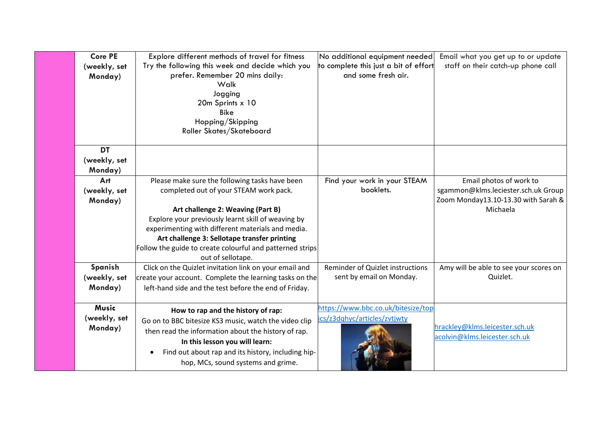| <b>Core PE</b><br>(weekly, set<br>Monday) | Explore different methods of travel for fitness<br>Try the following this week and decide which you<br>prefer. Remember 20 mins daily:<br>Walk<br>Jogging<br>20m Sprints x 10<br><b>Bike</b><br>Hopping/Skipping<br>Roller Skates/Skateboard                                                                                                                               | No additional equipment needed<br>to complete this just a bit of effort<br>and some fresh air. | Email what you get up to or update<br>staff on their catch-up phone call                                          |
|-------------------------------------------|----------------------------------------------------------------------------------------------------------------------------------------------------------------------------------------------------------------------------------------------------------------------------------------------------------------------------------------------------------------------------|------------------------------------------------------------------------------------------------|-------------------------------------------------------------------------------------------------------------------|
| <b>DT</b><br>(weekly, set<br>Monday)      |                                                                                                                                                                                                                                                                                                                                                                            |                                                                                                |                                                                                                                   |
| Art<br>(weekly, set<br>Monday)            | Please make sure the following tasks have been<br>completed out of your STEAM work pack.<br>Art challenge 2: Weaving (Part B)<br>Explore your previously learnt skill of weaving by<br>experimenting with different materials and media.<br>Art challenge 3: Sellotape transfer printing<br>Follow the guide to create colourful and patterned strips<br>out of sellotape. | Find your work in your STEAM<br>booklets.                                                      | Email photos of work to<br>sgammon@klms.leciester.sch.uk Group<br>Zoom Monday13.10-13.30 with Sarah &<br>Michaela |
| Spanish<br>(weekly, set<br>Monday)        | Click on the Quizlet invitation link on your email and<br>create your account. Complete the learning tasks on the<br>left-hand side and the test before the end of Friday.                                                                                                                                                                                                 | Reminder of Quizlet instructions<br>sent by email on Monday.                                   | Amy will be able to see your scores on<br>Quizlet.                                                                |
| <b>Music</b><br>(weekly, set<br>Monday)   | How to rap and the history of rap:<br>Go on to BBC bitesize KS3 music, watch the video clip<br>then read the information about the history of rap.<br>In this lesson you will learn:<br>Find out about rap and its history, including hip-<br>hop, MCs, sound systems and grime.                                                                                           | https://www.bbc.co.uk/bitesize/top<br>ics/z3dqhyc/articles/zvtjwty                             | hrackley@klms.leicester.sch.uk<br>acolvin@klms.leicester.sch.uk                                                   |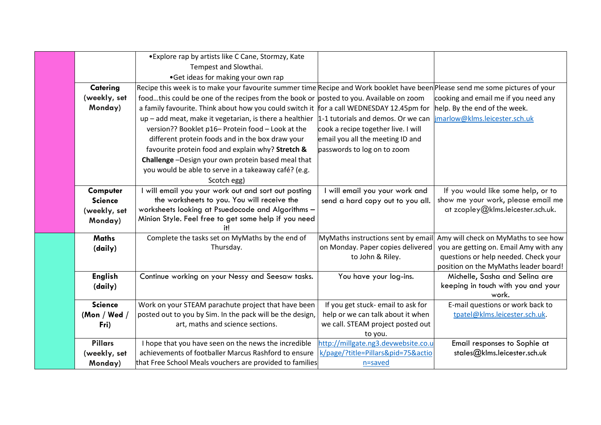|                | • Explore rap by artists like C Cane, Stormzy, Kate                                                                           |                                     |                                             |
|----------------|-------------------------------------------------------------------------------------------------------------------------------|-------------------------------------|---------------------------------------------|
|                | Tempest and Slowthai.                                                                                                         |                                     |                                             |
|                | •Get ideas for making your own rap                                                                                            |                                     |                                             |
| Catering       | Recipe this week is to make your favourite summer time Recipe and Work booklet have been Please send me some pictures of your |                                     |                                             |
| (weekly, set   | foodthis could be one of the recipes from the book or posted to you. Available on zoom                                        |                                     | cooking and email me if you need any        |
| Monday)        | a family favourite. Think about how you could switch it for a call WEDNESDAY 12.45pm for                                      |                                     | help. By the end of the week.               |
|                | up - add meat, make it vegetarian, is there a healthier                                                                       | 1-1 tutorials and demos. Or we can  | jmarlow@klms.leicester.sch.uk               |
|                | version?? Booklet p16- Protein food - Look at the                                                                             | cook a recipe together live. I will |                                             |
|                | different protein foods and in the box draw your                                                                              | email you all the meeting ID and    |                                             |
|                | favourite protein food and explain why? Stretch &                                                                             | passwords to log on to zoom         |                                             |
|                | Challenge-Design your own protein based meal that                                                                             |                                     |                                             |
|                | you would be able to serve in a takeaway café? (e.g.                                                                          |                                     |                                             |
|                | Scotch egg)                                                                                                                   |                                     |                                             |
| Computer       | I will email you your work out and sort out posting                                                                           | will email you your work and        | If you would like some help, or to          |
| <b>Science</b> | the worksheets to you. You will receive the                                                                                   | send a hard copy out to you all.    | show me your work, please email me          |
| (weekly, set   | worksheets looking at Psuedocode and Algorithms -                                                                             |                                     | at zcopley@klms.leicester.sch.uk.           |
| Monday)        | Minion Style. Feel free to get some help if you need<br>itl                                                                   |                                     |                                             |
| <b>Maths</b>   | Complete the tasks set on MyMaths by the end of                                                                               | MyMaths instructions sent by email  | Amy will check on MyMaths to see how        |
| (daily)        | Thursday.                                                                                                                     | on Monday. Paper copies delivered   | you are getting on. Email Amy with any      |
|                |                                                                                                                               | to John & Riley.                    | questions or help needed. Check your        |
|                |                                                                                                                               |                                     | position on the MyMaths leader board!       |
| <b>English</b> | Continue working on your Nessy and Seesaw tasks.                                                                              | You have your log-ins.              | Michelle, Sasha and Selina are              |
| (daily)        |                                                                                                                               |                                     | keeping in touch with you and your<br>work. |
| <b>Science</b> | Work on your STEAM parachute project that have been                                                                           | If you get stuck- email to ask for  | E-mail questions or work back to            |
| (Mon / Wed $/$ | posted out to you by Sim. In the pack will be the design,                                                                     | help or we can talk about it when   | tpatel@klms.leicester.sch.uk.               |
| Fri)           | art, maths and science sections.                                                                                              | we call. STEAM project posted out   |                                             |
|                |                                                                                                                               | to you.                             |                                             |
| <b>Pillars</b> | I hope that you have seen on the news the incredible                                                                          | http://millgate.ng3.devwebsite.co.u | Email responses to Sophie at                |
| (weekly, set   | achievements of footballer Marcus Rashford to ensure                                                                          | k/page/?title=Pillars&pid=75&actio  | stales@klms.leicester.sch.uk                |
| Monday)        | that Free School Meals vouchers are provided to families                                                                      | n=saved                             |                                             |
|                |                                                                                                                               |                                     |                                             |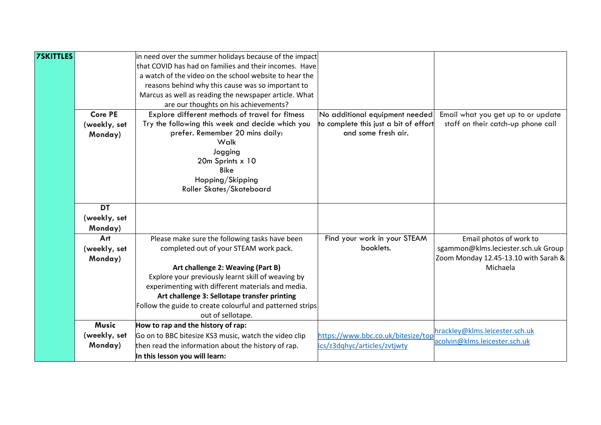| <b>7SKITTLES</b> |                | in need over the summer holidays because of the impact    |                                       |                                      |
|------------------|----------------|-----------------------------------------------------------|---------------------------------------|--------------------------------------|
|                  |                | that COVID has had on families and their incomes. Have    |                                       |                                      |
|                  |                | a watch of the video on the school website to hear the    |                                       |                                      |
|                  |                | reasons behind why this cause was so important to         |                                       |                                      |
|                  |                | Marcus as well as reading the newspaper article. What     |                                       |                                      |
|                  |                | are our thoughts on his achievements?                     |                                       |                                      |
|                  | <b>Core PE</b> | Explore different methods of travel for fitness           | No additional equipment needed        | Email what you get up to or update   |
|                  | (weekly, set   | Try the following this week and decide which you          | to complete this just a bit of effort | staff on their catch-up phone call   |
|                  | Monday)        | prefer. Remember 20 mins daily:                           | and some fresh air.                   |                                      |
|                  |                | Walk                                                      |                                       |                                      |
|                  |                | Jogging                                                   |                                       |                                      |
|                  |                | 20m Sprints x 10                                          |                                       |                                      |
|                  |                | <b>Bike</b>                                               |                                       |                                      |
|                  |                | Hopping/Skipping                                          |                                       |                                      |
|                  |                | Roller Skates/Skateboard                                  |                                       |                                      |
|                  | <b>DT</b>      |                                                           |                                       |                                      |
|                  | (weekly, set   |                                                           |                                       |                                      |
|                  | Monday)        |                                                           |                                       |                                      |
|                  | Art            | Please make sure the following tasks have been            | Find your work in your STEAM          | Email photos of work to              |
|                  | (weekly, set   | completed out of your STEAM work pack.                    | booklets.                             | sgammon@klms.leciester.sch.uk Group  |
|                  |                |                                                           |                                       | Zoom Monday 12.45-13.10 with Sarah & |
|                  | Monday)        | Art challenge 2: Weaving (Part B)                         |                                       | Michaela                             |
|                  |                | Explore your previously learnt skill of weaving by        |                                       |                                      |
|                  |                | experimenting with different materials and media.         |                                       |                                      |
|                  |                | Art challenge 3: Sellotape transfer printing              |                                       |                                      |
|                  |                | Follow the guide to create colourful and patterned strips |                                       |                                      |
|                  |                | out of sellotape.                                         |                                       |                                      |
|                  | <b>Music</b>   | How to rap and the history of rap:                        |                                       |                                      |
|                  | (weekly, set   | Go on to BBC bitesize KS3 music, watch the video clip     | https://www.bbc.co.uk/bitesize/top    | hrackley@klms.leicester.sch.uk       |
|                  | Monday)        | then read the information about the history of rap.       | ics/z3dqhyc/articles/zvtjwty          | acolvin@klms.leicester.sch.uk        |
|                  |                | In this lesson you will learn:                            |                                       |                                      |
|                  |                |                                                           |                                       |                                      |